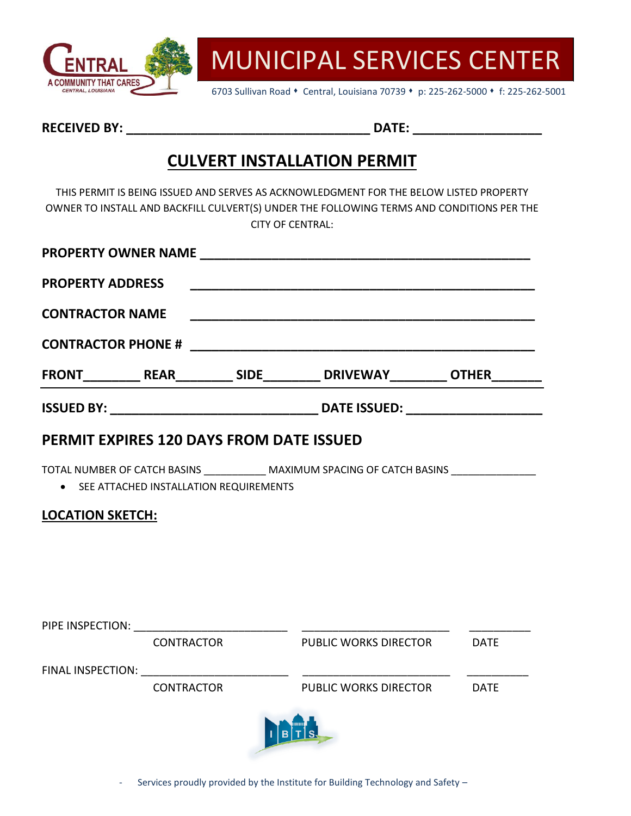

6703 Sullivan Road • Central, Louisiana 70739 • p: 225-262-5000 • f: 225-262-5001

**RECEIVED BY: \_\_\_\_\_\_\_\_\_\_\_\_\_\_\_\_\_\_\_\_\_\_\_\_\_\_\_\_\_\_\_\_\_\_ DATE: \_\_\_\_\_\_\_\_\_\_\_\_\_\_\_\_\_\_**

### **CULVERT INSTALLATION PERMIT**

THIS PERMIT IS BEING ISSUED AND SERVES AS ACKNOWLEDGMENT FOR THE BELOW LISTED PROPERTY OWNER TO INSTALL AND BACKFILL CULVERT(S) UNDER THE FOLLOWING TERMS AND CONDITIONS PER THE CITY OF CENTRAL:

|                                                 |            | <b>PROPERTY OWNER NAME</b>                                                                                              |  |
|-------------------------------------------------|------------|-------------------------------------------------------------------------------------------------------------------------|--|
| <b>PROPERTY ADDRESS</b>                         |            | <u> 1989 - Johann John Stoff, deutscher Stoff und der Stoff und der Stoff und der Stoff und der Stoff und der Stoff</u> |  |
| <b>CONTRACTOR NAME</b>                          |            |                                                                                                                         |  |
|                                                 |            |                                                                                                                         |  |
|                                                 |            |                                                                                                                         |  |
|                                                 |            |                                                                                                                         |  |
| <b>PERMIT EXPIRES 120 DAYS FROM DATE ISSUED</b> |            |                                                                                                                         |  |
| • SEE ATTACHED INSTALLATION REQUIREMENTS        |            | TOTAL NUMBER OF CATCH BASINS MAXIMUM SPACING OF CATCH BASINS                                                            |  |
| <b>LOCATION SKETCH:</b>                         |            |                                                                                                                         |  |
|                                                 |            |                                                                                                                         |  |
|                                                 |            |                                                                                                                         |  |
|                                                 |            |                                                                                                                         |  |
|                                                 | CONTRACTOR | PUBLIC WORKS DIRECTOR DATE                                                                                              |  |
|                                                 |            |                                                                                                                         |  |
|                                                 | CONTRACTOR | PUBLIC WORKS DIRECTOR DATE                                                                                              |  |
|                                                 |            |                                                                                                                         |  |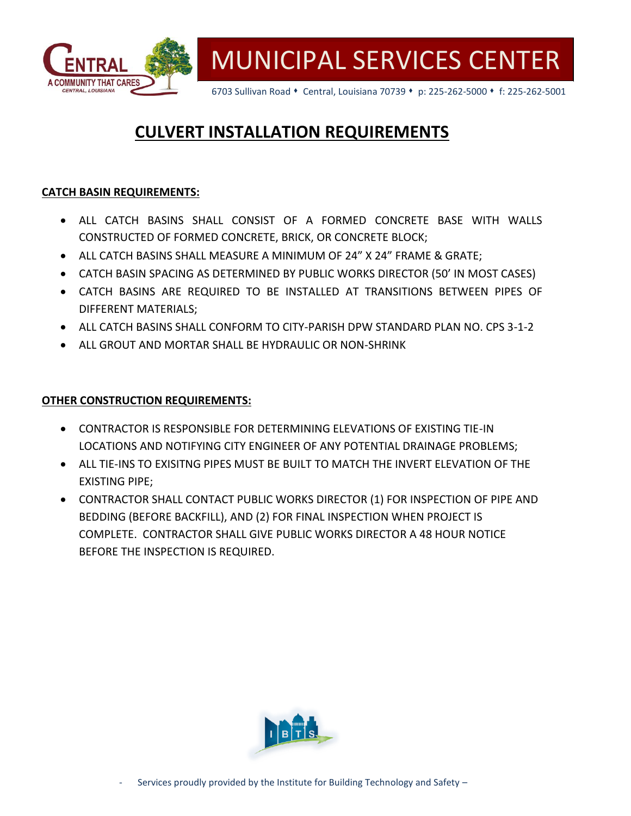

6703 Sullivan Road • Central, Louisiana 70739 • p: 225-262-5000 • f: 225-262-5001

### **CULVERT INSTALLATION REQUIREMENTS**

### **CATCH BASIN REQUIREMENTS:**

- ALL CATCH BASINS SHALL CONSIST OF A FORMED CONCRETE BASE WITH WALLS CONSTRUCTED OF FORMED CONCRETE, BRICK, OR CONCRETE BLOCK;
- ALL CATCH BASINS SHALL MEASURE A MINIMUM OF 24" X 24" FRAME & GRATE;
- CATCH BASIN SPACING AS DETERMINED BY PUBLIC WORKS DIRECTOR (50' IN MOST CASES)
- CATCH BASINS ARE REQUIRED TO BE INSTALLED AT TRANSITIONS BETWEEN PIPES OF DIFFERENT MATERIALS;
- ALL CATCH BASINS SHALL CONFORM TO CITY-PARISH DPW STANDARD PLAN NO. CPS 3-1-2
- ALL GROUT AND MORTAR SHALL BE HYDRAULIC OR NON-SHRINK

#### **OTHER CONSTRUCTION REQUIREMENTS:**

- CONTRACTOR IS RESPONSIBLE FOR DETERMINING ELEVATIONS OF EXISTING TIE-IN LOCATIONS AND NOTIFYING CITY ENGINEER OF ANY POTENTIAL DRAINAGE PROBLEMS;
- ALL TIE-INS TO EXISITNG PIPES MUST BE BUILT TO MATCH THE INVERT ELEVATION OF THE EXISTING PIPE;
- CONTRACTOR SHALL CONTACT PUBLIC WORKS DIRECTOR (1) FOR INSPECTION OF PIPE AND BEDDING (BEFORE BACKFILL), AND (2) FOR FINAL INSPECTION WHEN PROJECT IS COMPLETE. CONTRACTOR SHALL GIVE PUBLIC WORKS DIRECTOR A 48 HOUR NOTICE BEFORE THE INSPECTION IS REQUIRED.

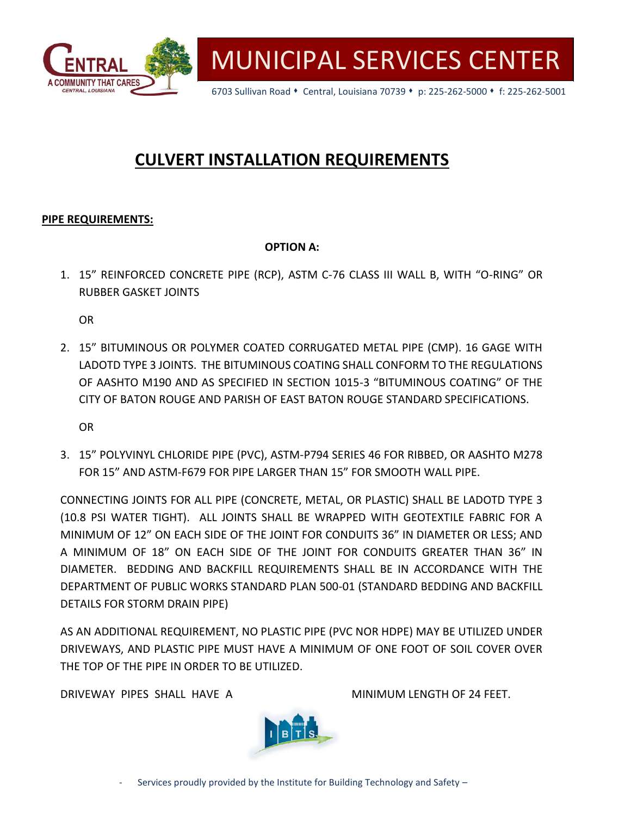

6703 Sullivan Road • Central, Louisiana 70739 • p: 225-262-5000 • f: 225-262-5001

# **CULVERT INSTALLATION REQUIREMENTS**

#### **PIPE REQUIREMENTS:**

#### **OPTION A:**

1. 15" REINFORCED CONCRETE PIPE (RCP), ASTM C-76 CLASS III WALL B, WITH "O-RING" OR RUBBER GASKET JOINTS

OR

2. 15" BITUMINOUS OR POLYMER COATED CORRUGATED METAL PIPE (CMP). 16 GAGE WITH LADOTD TYPE 3 JOINTS. THE BITUMINOUS COATING SHALL CONFORM TO THE REGULATIONS OF AASHTO M190 AND AS SPECIFIED IN SECTION 1015-3 "BITUMINOUS COATING" OF THE CITY OF BATON ROUGE AND PARISH OF EAST BATON ROUGE STANDARD SPECIFICATIONS.

OR

3. 15" POLYVINYL CHLORIDE PIPE (PVC), ASTM-P794 SERIES 46 FOR RIBBED, OR AASHTO M278 FOR 15" AND ASTM-F679 FOR PIPE LARGER THAN 15" FOR SMOOTH WALL PIPE.

CONNECTING JOINTS FOR ALL PIPE (CONCRETE, METAL, OR PLASTIC) SHALL BE LADOTD TYPE 3 (10.8 PSI WATER TIGHT). ALL JOINTS SHALL BE WRAPPED WITH GEOTEXTILE FABRIC FOR A MINIMUM OF 12" ON EACH SIDE OF THE JOINT FOR CONDUITS 36" IN DIAMETER OR LESS; AND A MINIMUM OF 18" ON EACH SIDE OF THE JOINT FOR CONDUITS GREATER THAN 36" IN DIAMETER. BEDDING AND BACKFILL REQUIREMENTS SHALL BE IN ACCORDANCE WITH THE DEPARTMENT OF PUBLIC WORKS STANDARD PLAN 500-01 (STANDARD BEDDING AND BACKFILL DETAILS FOR STORM DRAIN PIPE)

AS AN ADDITIONAL REQUIREMENT, NO PLASTIC PIPE (PVC NOR HDPE) MAY BE UTILIZED UNDER DRIVEWAYS, AND PLASTIC PIPE MUST HAVE A MINIMUM OF ONE FOOT OF SOIL COVER OVER THE TOP OF THE PIPE IN ORDER TO BE UTILIZED.

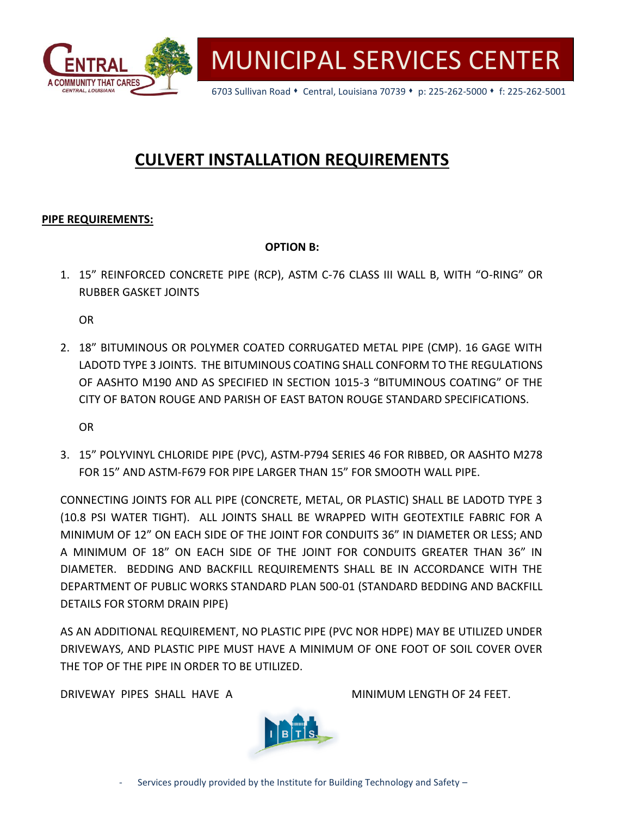

6703 Sullivan Road • Central, Louisiana 70739 • p: 225-262-5000 • f: 225-262-5001

# **CULVERT INSTALLATION REQUIREMENTS**

#### **PIPE REQUIREMENTS:**

#### **OPTION B:**

1. 15" REINFORCED CONCRETE PIPE (RCP), ASTM C-76 CLASS III WALL B, WITH "O-RING" OR RUBBER GASKET JOINTS

OR

2. 18" BITUMINOUS OR POLYMER COATED CORRUGATED METAL PIPE (CMP). 16 GAGE WITH LADOTD TYPE 3 JOINTS. THE BITUMINOUS COATING SHALL CONFORM TO THE REGULATIONS OF AASHTO M190 AND AS SPECIFIED IN SECTION 1015-3 "BITUMINOUS COATING" OF THE CITY OF BATON ROUGE AND PARISH OF EAST BATON ROUGE STANDARD SPECIFICATIONS.

OR

3. 15" POLYVINYL CHLORIDE PIPE (PVC), ASTM-P794 SERIES 46 FOR RIBBED, OR AASHTO M278 FOR 15" AND ASTM-F679 FOR PIPE LARGER THAN 15" FOR SMOOTH WALL PIPE.

CONNECTING JOINTS FOR ALL PIPE (CONCRETE, METAL, OR PLASTIC) SHALL BE LADOTD TYPE 3 (10.8 PSI WATER TIGHT). ALL JOINTS SHALL BE WRAPPED WITH GEOTEXTILE FABRIC FOR A MINIMUM OF 12" ON EACH SIDE OF THE JOINT FOR CONDUITS 36" IN DIAMETER OR LESS; AND A MINIMUM OF 18" ON EACH SIDE OF THE JOINT FOR CONDUITS GREATER THAN 36" IN DIAMETER. BEDDING AND BACKFILL REQUIREMENTS SHALL BE IN ACCORDANCE WITH THE DEPARTMENT OF PUBLIC WORKS STANDARD PLAN 500-01 (STANDARD BEDDING AND BACKFILL DETAILS FOR STORM DRAIN PIPE)

AS AN ADDITIONAL REQUIREMENT, NO PLASTIC PIPE (PVC NOR HDPE) MAY BE UTILIZED UNDER DRIVEWAYS, AND PLASTIC PIPE MUST HAVE A MINIMUM OF ONE FOOT OF SOIL COVER OVER THE TOP OF THE PIPE IN ORDER TO BE UTILIZED.

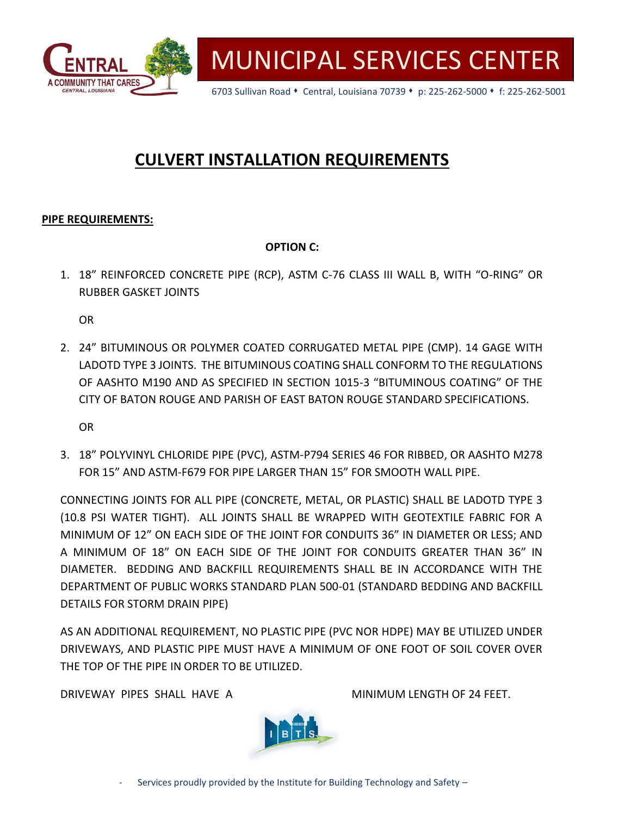

6703 Sullivan Road • Central, Louisiana 70739 • p: 225-262-5000 • f: 225-262-5001

# **CULVERT INSTALLATION REQUIREMENTS**

#### **PIPE REQUIREMENTS:**

### **OPTION C:**

1. 18" REINFORCED CONCRETE PIPE (RCP), ASTM C-76 CLASS III WALL B, WITH "O-RING" OR RUBBER GASKET JOINTS

OR

2. 24" BITUMINOUS OR POLYMER COATED CORRUGATED METAL PIPE (CMP). 14 GAGE WITH LADOTD TYPE 3 JOINTS. THE BITUMINOUS COATING SHALL CONFORM TO THE REGULATIONS OF AASHTO M190 AND AS SPECIFIED IN SECTION 1015-3 "BITUMINOUS COATING" OF THE CITY OF BATON ROUGE AND PARISH OF EAST BATON ROUGE STANDARD SPECIFICATIONS.

OR

3. 18" POLYVINYL CHLORIDE PIPE (PVC), ASTM-P794 SERIES 46 FOR RIBBED, OR AASHTO M278 FOR 15" AND ASTM-F679 FOR PIPE LARGER THAN 15" FOR SMOOTH WALL PIPE.

CONNECTING JOINTS FOR ALL PIPE (CONCRETE, METAL, OR PLASTIC) SHALL BE LADOTD TYPE 3 (10.8 PSI WATER TIGHT). ALL JOINTS SHALL BE WRAPPED WITH GEOTEXTILE FABRIC FOR A MINIMUM OF 12" ON EACH SIDE OF THE JOINT FOR CONDUITS 36" IN DIAMETER OR LESS; AND A MINIMUM OF 18" ON EACH SIDE OF THE JOINT FOR CONDUITS GREATER THAN 36" IN DIAMETER. BEDDING AND BACKFILL REQUIREMENTS SHALL BE IN ACCORDANCE WITH THE DEPARTMENT OF PUBLIC WORKS STANDARD PLAN 500-01 (STANDARD BEDDING AND BACKFILL DETAILS FOR STORM DRAIN PIPE)

AS AN ADDITIONAL REQUIREMENT, NO PLASTIC PIPE (PVC NOR HDPE) MAY BE UTILIZED UNDER DRIVEWAYS, AND PLASTIC PIPE MUST HAVE A MINIMUM OF ONE FOOT OF SOIL COVER OVER THE TOP OF THE PIPE IN ORDER TO BE UTILIZED.